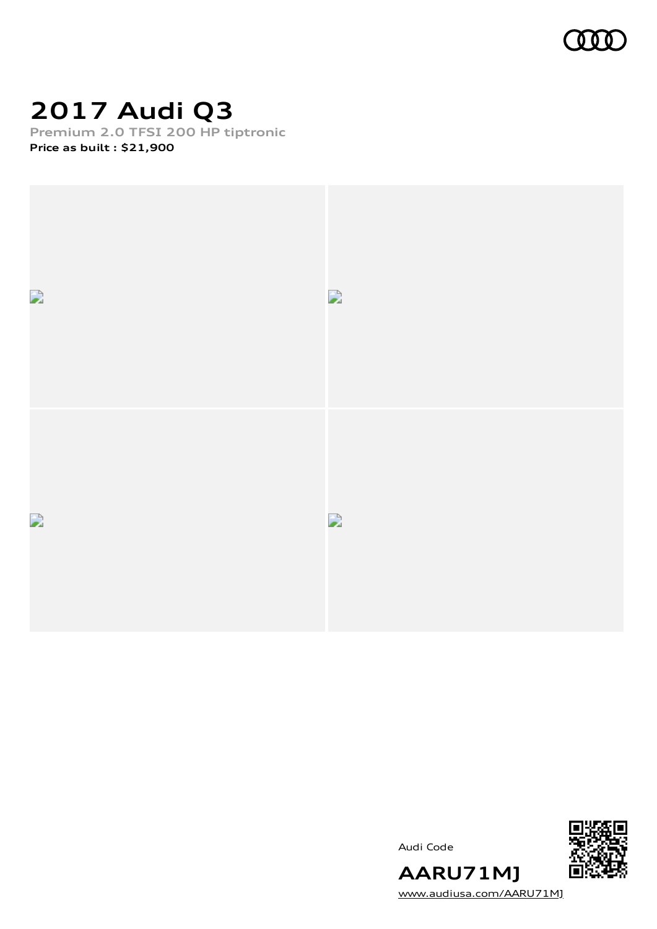

## **2017 Audi Q3**

**Premium 2.0 TFSI 200 HP tiptronic**

**Price as built [:](#page-9-0) \$21,900**



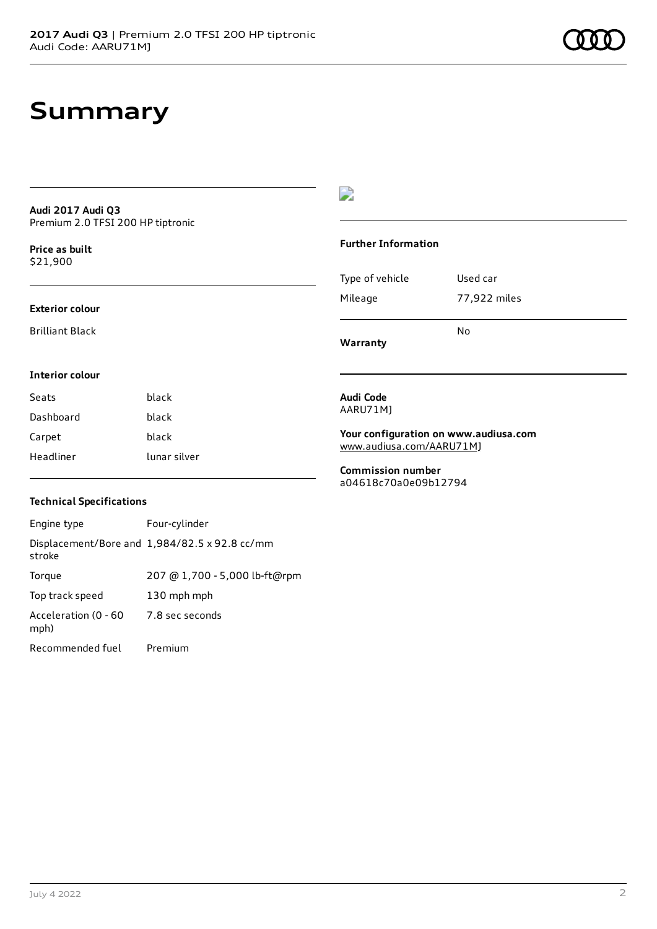### **Audi 2017 Audi Q3** Premium 2.0 TFSI 200 HP tiptronic

**Price as buil[t](#page-9-0)** \$21,900

### **Exterior colour**

Brilliant Black

### $\overline{\phantom{a}}$

### **Further Information**

|                 | N٥           |
|-----------------|--------------|
| Mileage         | 77,922 miles |
| Type of vehicle | Used car     |

**Warranty**

### **Interior colour**

| Seats     | black        |
|-----------|--------------|
| Dashboard | black        |
| Carpet    | black        |
| Headliner | lunar silver |

### **Audi Code** AARU71MJ

**Your configuration on www.audiusa.com** [www.audiusa.com/AARU71MJ](https://www.audiusa.com/AARU71MJ)

**Commission number** a04618c70a0e09b12794

### **Technical Specifications**

| Engine type                  | Four-cylinder                                 |
|------------------------------|-----------------------------------------------|
| stroke                       | Displacement/Bore and 1,984/82.5 x 92.8 cc/mm |
| Torque                       | 207 @ 1,700 - 5,000 lb-ft@rpm                 |
| Top track speed              | 130 mph mph                                   |
| Acceleration (0 - 60<br>mph) | 7.8 sec seconds                               |
| Recommended fuel             | Premium                                       |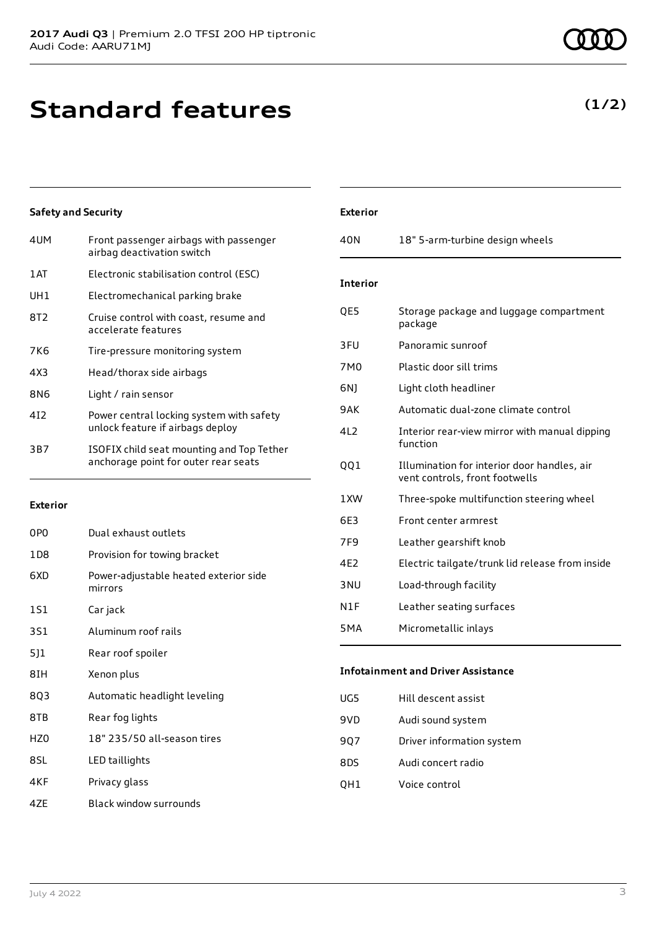## **Standard features**

### **Safety and Security**

| 4UM  | Front passenger airbags with passenger<br>airbag deactivation switch              |
|------|-----------------------------------------------------------------------------------|
| 1 AT | Electronic stabilisation control (ESC)                                            |
| UH1  | Electromechanical parking brake                                                   |
| 8T2  | Cruise control with coast, resume and<br>accelerate features                      |
| 7K6  | Tire-pressure monitoring system                                                   |
| 4X3  | Head/thorax side airbags                                                          |
| 8N6  | Light / rain sensor                                                               |
| 412  | Power central locking system with safety<br>unlock feature if airbags deploy      |
| 3B7  | ISOFIX child seat mounting and Top Tether<br>anchorage point for outer rear seats |

### **Exterior**

| 0PO   | Dual exhaust outlets                             |
|-------|--------------------------------------------------|
| 1 D 8 | Provision for towing bracket                     |
| 6XD   | Power-adjustable heated exterior side<br>mirrors |
| 151   | Car jack                                         |
| 3S1   | Aluminum roof rails                              |
| 511   | Rear roof spoiler                                |
| 8IH   | Xenon plus                                       |
| 8Q3   | Automatic headlight leveling                     |
| 8TB   | Rear fog lights                                  |
| HZ0   | 18" 235/50 all-season tires                      |
| 8SL   | LED taillights                                   |
| 4KF   | Privacy glass                                    |
| 4ZE   | Black window surrounds                           |

### **Exterior** 40N 18" 5-arm-turbine design wheels **Interior** QE5 Storage package and luggage compartment package 3FU Panoramic sunroof 7M0 Plastic door sill trims 6NJ Light cloth headliner 9AK Automatic dual-zone climate control 4L2 Interior rear-view mirror with manual dipping function QQ1 Illumination for interior door handles, air vent controls, front footwells 1XW Three-spoke multifunction steering wheel 6E3 Front center armrest 7F9 Leather gearshift knob 4E2 Electric tailgate/trunk lid release from inside 3NU Load-through facility N1F Leather seating surfaces 5MA Micrometallic inlays

### **Infotainment and Driver Assistance**

| UG5  | Hill descent assist       |
|------|---------------------------|
| 9VD  | Audi sound system         |
| 907  | Driver information system |
| 8DS. | Audi concert radio        |
| QH1  | Voice control             |
|      |                           |

### **(1/2)**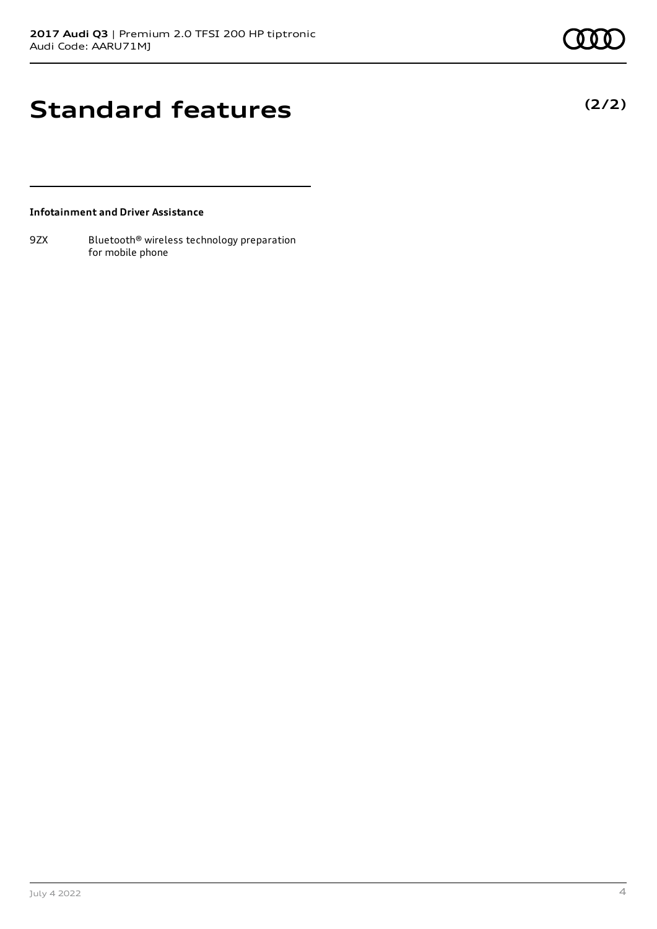**(2/2)**

## **Standard features**

### **Infotainment and Driver Assistance**

9ZX Bluetooth® wireless technology preparation for mobile phone

July 4 2022 4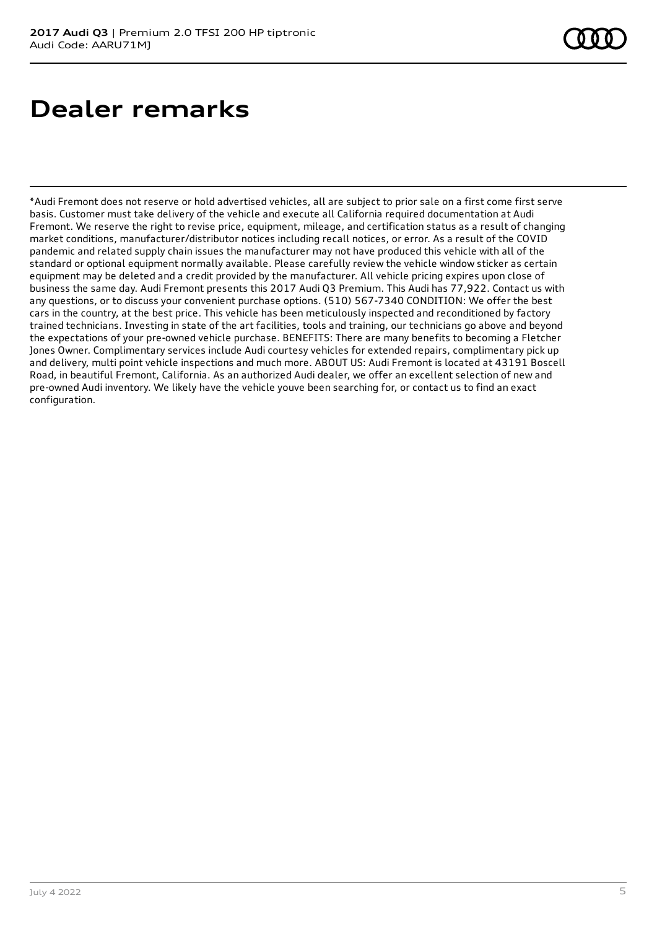# **Dealer remarks**

\*Audi Fremont does not reserve or hold advertised vehicles, all are subject to prior sale on a first come first serve basis. Customer must take delivery of the vehicle and execute all California required documentation at Audi Fremont. We reserve the right to revise price, equipment, mileage, and certification status as a result of changing market conditions, manufacturer/distributor notices including recall notices, or error. As a result of the COVID pandemic and related supply chain issues the manufacturer may not have produced this vehicle with all of the standard or optional equipment normally available. Please carefully review the vehicle window sticker as certain equipment may be deleted and a credit provided by the manufacturer. All vehicle pricing expires upon close of business the same day. Audi Fremont presents this 2017 Audi Q3 Premium. This Audi has 77,922. Contact us with any questions, or to discuss your convenient purchase options. (510) 567-7340 CONDITION: We offer the best cars in the country, at the best price. This vehicle has been meticulously inspected and reconditioned by factory trained technicians. Investing in state of the art facilities, tools and training, our technicians go above and beyond the expectations of your pre-owned vehicle purchase. BENEFITS: There are many benefits to becoming a Fletcher Jones Owner. Complimentary services include Audi courtesy vehicles for extended repairs, complimentary pick up and delivery, multi point vehicle inspections and much more. ABOUT US: Audi Fremont is located at 43191 Boscell Road, in beautiful Fremont, California. As an authorized Audi dealer, we offer an excellent selection of new and pre-owned Audi inventory. We likely have the vehicle youve been searching for, or contact us to find an exact configuration.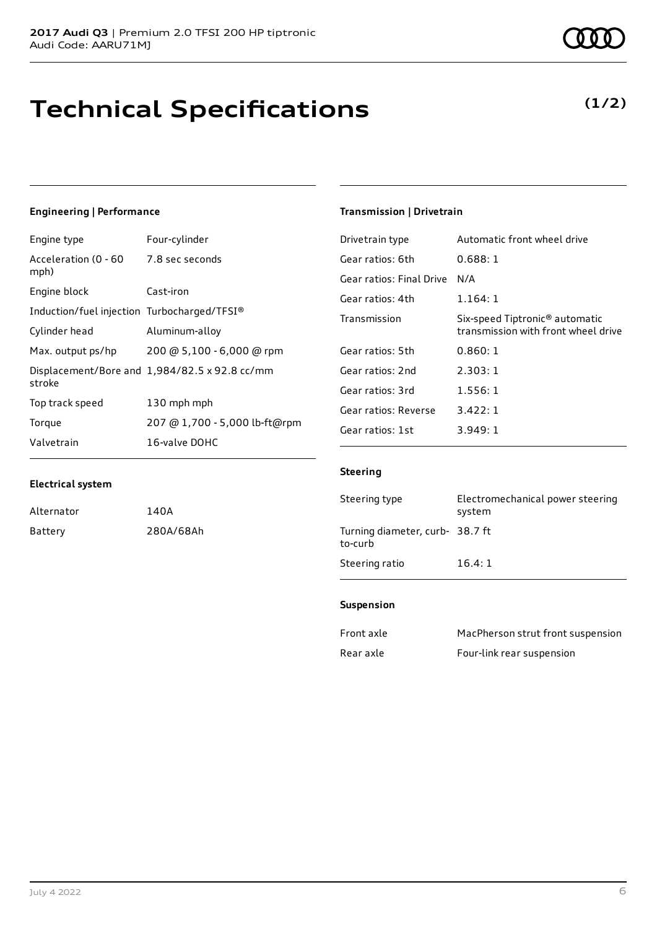## **Technical Specifications**

### **Engineering | Performance**

**Electrical system**

Alternator 140A

Battery 280A/68Ah

| Engine type                                  | Four-cylinder                                 |
|----------------------------------------------|-----------------------------------------------|
| Acceleration (0 - 60 7.8 sec seconds<br>mph) |                                               |
| Engine block                                 | Cast-iron                                     |
| Induction/fuel injection Turbocharged/TFSI®  |                                               |
| Cylinder head                                | Aluminum-alloy                                |
| Max. output ps/hp                            | 200 @ 5,100 - 6,000 @ rpm                     |
| stroke                                       | Displacement/Bore and 1,984/82.5 x 92.8 cc/mm |
| Top track speed                              | 130 mph mph                                   |
| Torque                                       | 207 @ 1,700 - 5,000 lb-ft@rpm                 |
| Valvetrain                                   | 16-valve DOHC                                 |

### **Transmission | Drivetrain**

| Drivetrain type          | Automatic front wheel drive                                                       |
|--------------------------|-----------------------------------------------------------------------------------|
| Gear ratios: 6th         | 0.688:1                                                                           |
| Gear ratios: Final Drive | N/A                                                                               |
| Gear ratios: 4th         | 1.164:1                                                                           |
| Transmission             | Six-speed Tiptronic <sup>®</sup> automatic<br>transmission with front wheel drive |
| Gear ratios: 5th         | 0.860:1                                                                           |
| Gear ratios: 2nd         | 2.303:1                                                                           |
| Gear ratios: 3rd         | 1.556:1                                                                           |
| Gear ratios: Reverse     | 3.422:1                                                                           |
| Gear ratios: 1st         | 3.949:1                                                                           |

### **Steering**

| Steering type                              | Electromechanical power steering<br>system |
|--------------------------------------------|--------------------------------------------|
| Turning diameter, curb- 38.7 ft<br>to-curb |                                            |
| Steering ratio                             | 16.4:1                                     |

### **Suspension**

| Front axle | MacPherson strut front suspension |
|------------|-----------------------------------|
| Rear axle  | Four-link rear suspension         |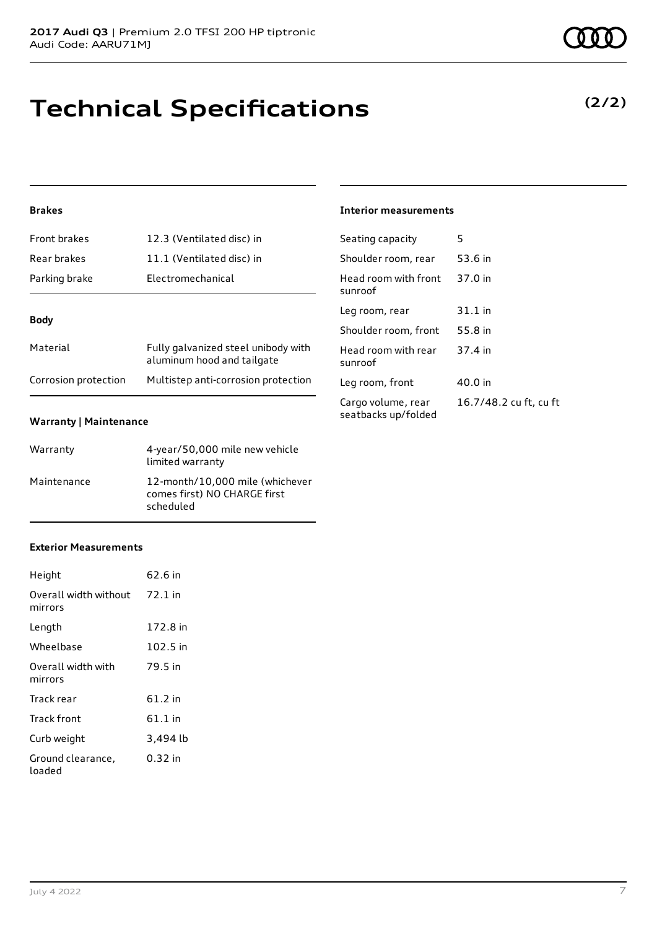## **Technical Specifications**

### **Brakes**

| <b>Front brakes</b>  | 12.3 (Ventilated disc) in                                         |
|----------------------|-------------------------------------------------------------------|
| Rear brakes          | 11.1 (Ventilated disc) in                                         |
| Parking brake        | Electromechanical                                                 |
| <b>Body</b>          |                                                                   |
| Material             | Fully galvanized steel unibody with<br>aluminum hood and tailgate |
| Corrosion protection | Multistep anti-corrosion protection                               |

### **Warranty | Maintenance**

| Warranty    | 4-year/50,000 mile new vehicle<br>limited warranty                           |
|-------------|------------------------------------------------------------------------------|
| Maintenance | 12-month/10,000 mile (whichever<br>comes first) NO CHARGE first<br>scheduled |

#### **Exterior Measurements**

| Height                           | 62.6 in   |
|----------------------------------|-----------|
| Overall width without<br>mirrors | 72.1 in   |
| Length                           | 172.8 in  |
| Wheelbase                        | 102.5 in  |
| Overall width with<br>mirrors    | 79.5 in   |
| Track rear                       | 61.2 in   |
| <b>Track front</b>               | $61.1$ in |
| Curb weight                      | 3,494 lb  |
| Ground clearance,<br>loaded      | 0.32 in   |

### **Interior measurements**

| Seating capacity                          | 5                      |
|-------------------------------------------|------------------------|
| Shoulder room, rear                       | 53.6 in                |
| Head room with front<br>sunroof           | 37.0 in                |
| Leg room, rear                            | $31.1$ in              |
| Shoulder room, front                      | 55.8 in                |
| Head room with rear<br>sunroof            | 37.4 in                |
| Leg room, front                           | 40.0 in                |
| Cargo volume, rear<br>seatbacks up/folded | 16.7/48.2 cu ft, cu ft |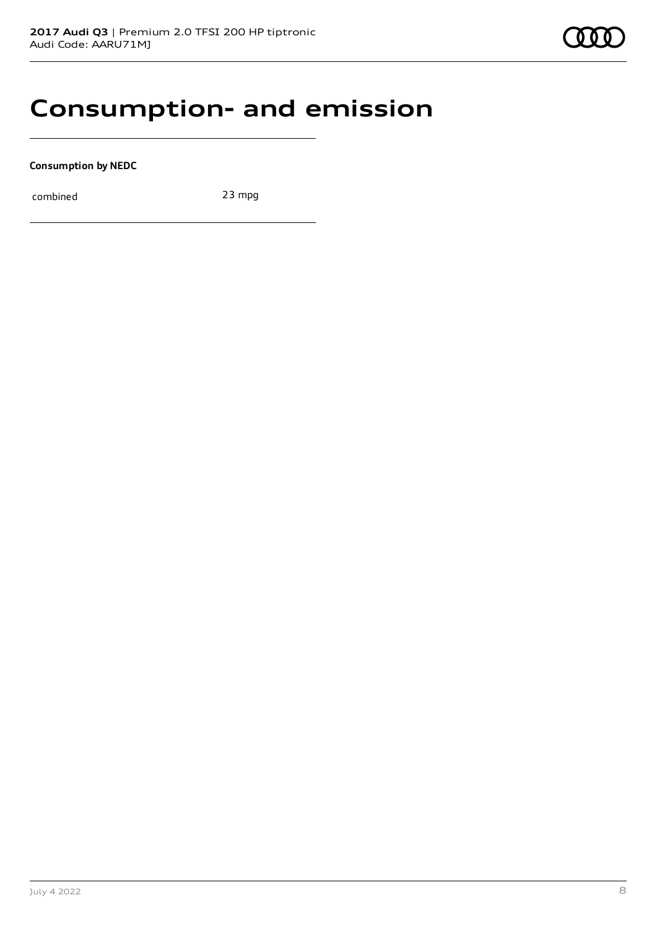### **Consumption- and emission**

**Consumption by NEDC**

combined 23 mpg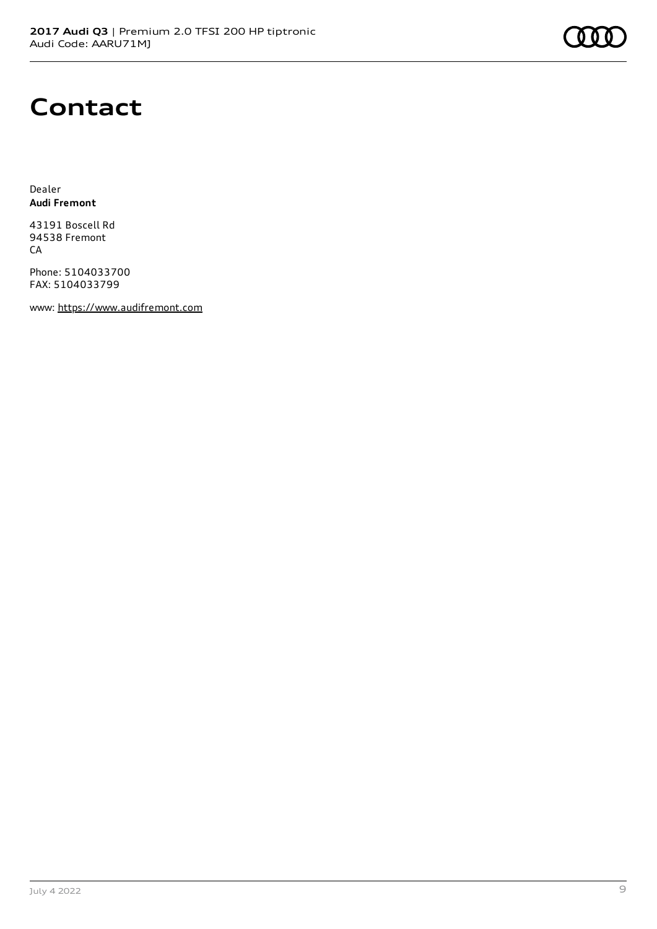

## **Contact**

Dealer **Audi Fremont**

43191 Boscell Rd 94538 Fremont CA

Phone: 5104033700 FAX: 5104033799

www: [https://www.audifremont.com](https://www.audifremont.com/)